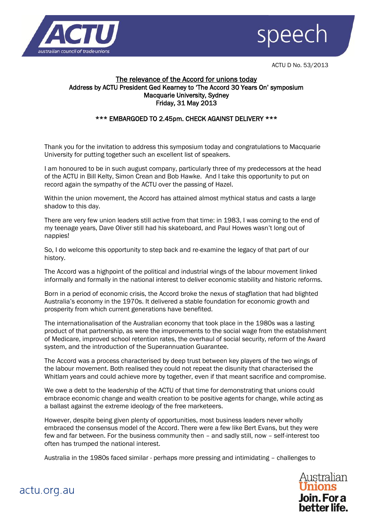



ACTU D No. 53/2013

## The relevance of the Accord for unions today Address by ACTU President Ged Kearney to 'The Accord 30 Years On' symposium Macquarie University, Sydney Friday, 31 May 2013

# \*\*\* EMBARGOED TO 2.45pm. CHECK AGAINST DELIVERY \*\*\*

Thank you for the invitation to address this symposium today and congratulations to Macquarie University for putting together such an excellent list of speakers.

I am honoured to be in such august company, particularly three of my predecessors at the head of the ACTU in Bill Kelty, Simon Crean and Bob Hawke. And I take this opportunity to put on record again the sympathy of the ACTU over the passing of Hazel.

Within the union movement, the Accord has attained almost mythical status and casts a large shadow to this day.

There are very few union leaders still active from that time: in 1983, I was coming to the end of my teenage years, Dave Oliver still had his skateboard, and Paul Howes wasn't long out of nappies!

So, I do welcome this opportunity to step back and re-examine the legacy of that part of our history.

The Accord was a highpoint of the political and industrial wings of the labour movement linked informally and formally in the national interest to deliver economic stability and historic reforms.

Born in a period of economic crisis, the Accord broke the nexus of stagflation that had blighted Australia's economy in the 1970s. It delivered a stable foundation for economic growth and prosperity from which current generations have benefited.

The internationalisation of the Australian economy that took place in the 1980s was a lasting product of that partnership, as were the improvements to the social wage from the establishment of Medicare, improved school retention rates, the overhaul of social security, reform of the Award system, and the introduction of the Superannuation Guarantee.

The Accord was a process characterised by deep trust between key players of the two wings of the labour movement. Both realised they could not repeat the disunity that characterised the Whitlam years and could achieve more by together, even if that meant sacrifice and compromise.

We owe a debt to the leadership of the ACTU of that time for demonstrating that unions could embrace economic change and wealth creation to be positive agents for change, while acting as a ballast against the extreme ideology of the free marketeers.

However, despite being given plenty of opportunities, most business leaders never wholly embraced the consensus model of the Accord. There were a few like Bert Evans, but they were few and far between. For the business community then – and sadly still, now – self-interest too often has trumped the national interest.

Australia in the 1980s faced similar - perhaps more pressing and intimidating – challenges to



actu.org.au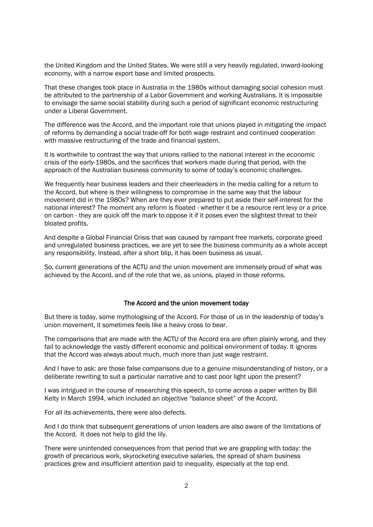the United Kingdom and the United States. We were still a very heavily regulated, inward-looking economy, with a narrow export base and limited prospects.

That these changes took place in Australia in the 1980s without damaging social cohesion must be attributed to the partnership of a Labor Government and working Australians. It is impossible to envisage the same social stability during such a period of significant economic restructuring under a Liberal Government.

The difference was the Accord, and the important role that unions played in mitigating the impact of reforms by demanding a social trade-off for both wage restraint and continued cooperation with massive restructuring of the trade and financial system.

It is worthwhile to contrast the way that unions rallied to the national interest in the economic crisis of the early-1980s, and the sacrifices that workers made during that period, with the approach of the Australian business community to some of today's economic challenges.

We frequently hear business leaders and their cheerleaders in the media calling for a return to the Accord, but where is their willingness to compromise in the same way that the labour movement did in the 1980s? When are they ever prepared to put aside their self-interest for the national interest? The moment any reform is floated - whether it be a resource rent levy or a price on carbon - they are quick off the mark to oppose it if it poses even the slightest threat to their bloated profits.

And despite a Global Financial Crisis that was caused by rampant free markets, corporate greed and unregulated business practices, we are yet to see the business community as a whole accept any responsibility. Instead, after a short blip, it has been business as usual.

So, current generations of the ACTU and the union movement are immensely proud of what was achieved by the Accord, and of the role that we, as unions, played in those reforms.

### The Accord and the union movement today

But there is today, some mythologising of the Accord. For those of us in the leadership of today's union movement, it sometimes feels like a heavy cross to bear.

The comparisons that are made with the ACTU of the Accord era are often plainly wrong, and they fail to acknowledge the vastly different economic and political environment of today. It ignores that the Accord was always about much, much more than just wage restraint.

And I have to ask: are those false comparisons due to a genuine misunderstanding of history, or a deliberate rewriting to suit a particular narrative and to cast poor light upon the present?

I was intrigued in the course of researching this speech, to come across a paper written by Bill Kelty in March 1994, which included an objective "balance sheet" of the Accord.

For all its achievements, there were also defects.

And I do think that subsequent generations of union leaders are also aware of the limitations of the Accord. It does not help to gild the lily.

There were unintended consequences from that period that we are grappling with today: the growth of precarious work, skyrocketing executive salaries, the spread of sham business practices grew and insufficient attention paid to inequality, especially at the top end.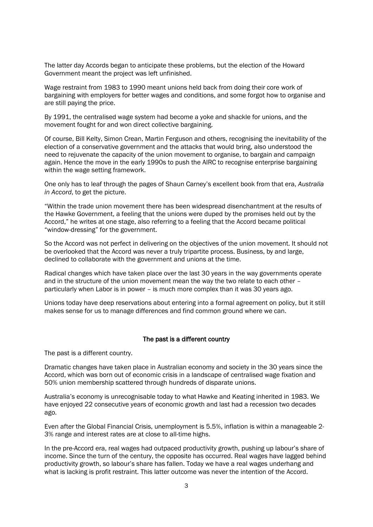The latter day Accords began to anticipate these problems, but the election of the Howard Government meant the project was left unfinished.

Wage restraint from 1983 to 1990 meant unions held back from doing their core work of bargaining with employers for better wages and conditions, and some forgot how to organise and are still paying the price.

By 1991, the centralised wage system had become a yoke and shackle for unions, and the movement fought for and won direct collective bargaining.

Of course, Bill Kelty, Simon Crean, Martin Ferguson and others, recognising the inevitability of the election of a conservative government and the attacks that would bring, also understood the need to rejuvenate the capacity of the union movement to organise, to bargain and campaign again. Hence the move in the early 1990s to push the AIRC to recognise enterprise bargaining within the wage setting framework.

One only has to leaf through the pages of Shaun Carney's excellent book from that era, *Australia in Accord*, to get the picture.

"Within the trade union movement there has been widespread disenchantment at the results of the Hawke Government, a feeling that the unions were duped by the promises held out by the Accord," he writes at one stage, also referring to a feeling that the Accord became political "window-dressing" for the government.

So the Accord was not perfect in delivering on the objectives of the union movement. It should not be overlooked that the Accord was never a truly tripartite process. Business, by and large, declined to collaborate with the government and unions at the time.

Radical changes which have taken place over the last 30 years in the way governments operate and in the structure of the union movement mean the way the two relate to each other – particularly when Labor is in power – is much more complex than it was 30 years ago.

Unions today have deep reservations about entering into a formal agreement on policy, but it still makes sense for us to manage differences and find common ground where we can.

### The past is a different country

The past is a different country.

Dramatic changes have taken place in Australian economy and society in the 30 years since the Accord, which was born out of economic crisis in a landscape of centralised wage fixation and 50% union membership scattered through hundreds of disparate unions.

Australia's economy is unrecognisable today to what Hawke and Keating inherited in 1983. We have enjoyed 22 consecutive years of economic growth and last had a recession two decades ago.

Even after the Global Financial Crisis, unemployment is 5.5%, inflation is within a manageable 2- 3% range and interest rates are at close to all-time highs.

In the pre-Accord era, real wages had outpaced productivity growth, pushing up labour's share of income. Since the turn of the century, the opposite has occurred. Real wages have lagged behind productivity growth, so labour's share has fallen. Today we have a real wages underhang and what is lacking is profit restraint. This latter outcome was never the intention of the Accord.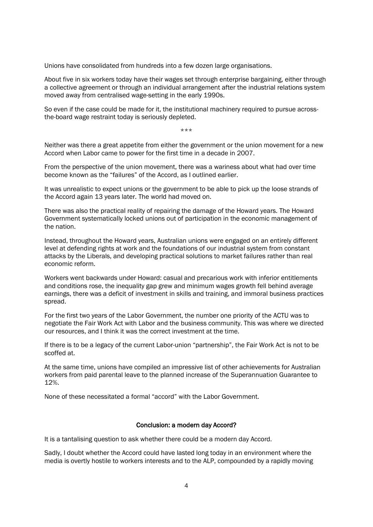Unions have consolidated from hundreds into a few dozen large organisations.

About five in six workers today have their wages set through enterprise bargaining, either through a collective agreement or through an individual arrangement after the industrial relations system moved away from centralised wage-setting in the early 1990s.

So even if the case could be made for it, the institutional machinery required to pursue acrossthe-board wage restraint today is seriously depleted.

\*\*\*

Neither was there a great appetite from either the government or the union movement for a new Accord when Labor came to power for the first time in a decade in 2007.

From the perspective of the union movement, there was a wariness about what had over time become known as the "failures" of the Accord, as I outlined earlier.

It was unrealistic to expect unions or the government to be able to pick up the loose strands of the Accord again 13 years later. The world had moved on.

There was also the practical reality of repairing the damage of the Howard years. The Howard Government systematically locked unions out of participation in the economic management of the nation.

Instead, throughout the Howard years, Australian unions were engaged on an entirely different level at defending rights at work and the foundations of our industrial system from constant attacks by the Liberals, and developing practical solutions to market failures rather than real economic reform.

Workers went backwards under Howard: casual and precarious work with inferior entitlements and conditions rose, the inequality gap grew and minimum wages growth fell behind average earnings, there was a deficit of investment in skills and training, and immoral business practices spread.

For the first two years of the Labor Government, the number one priority of the ACTU was to negotiate the Fair Work Act with Labor and the business community. This was where we directed our resources, and I think it was the correct investment at the time.

If there is to be a legacy of the current Labor-union "partnership", the Fair Work Act is not to be scoffed at.

At the same time, unions have compiled an impressive list of other achievements for Australian workers from paid parental leave to the planned increase of the Superannuation Guarantee to 12%.

None of these necessitated a formal "accord" with the Labor Government.

### Conclusion: a modern day Accord?

It is a tantalising question to ask whether there could be a modern day Accord.

Sadly, I doubt whether the Accord could have lasted long today in an environment where the media is overtly hostile to workers interests and to the ALP, compounded by a rapidly moving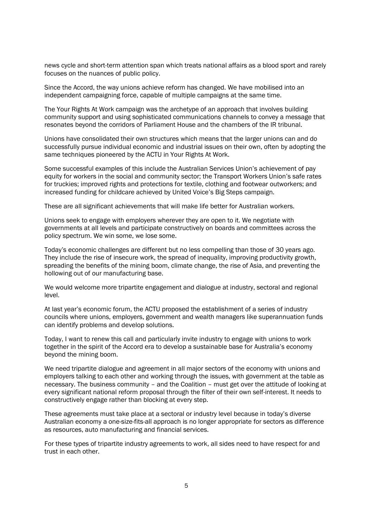news cycle and short-term attention span which treats national affairs as a blood sport and rarely focuses on the nuances of public policy.

Since the Accord, the way unions achieve reform has changed. We have mobilised into an independent campaigning force, capable of multiple campaigns at the same time.

The Your Rights At Work campaign was the archetype of an approach that involves building community support and using sophisticated communications channels to convey a message that resonates beyond the corridors of Parliament House and the chambers of the IR tribunal.

Unions have consolidated their own structures which means that the larger unions can and do successfully pursue individual economic and industrial issues on their own, often by adopting the same techniques pioneered by the ACTU in Your Rights At Work.

Some successful examples of this include the Australian Services Union's achievement of pay equity for workers in the social and community sector; the Transport Workers Union's safe rates for truckies; improved rights and protections for textile, clothing and footwear outworkers; and increased funding for childcare achieved by United Voice's Big Steps campaign.

These are all significant achievements that will make life better for Australian workers.

Unions seek to engage with employers wherever they are open to it. We negotiate with governments at all levels and participate constructively on boards and committees across the policy spectrum. We win some, we lose some.

Today's economic challenges are different but no less compelling than those of 30 years ago. They include the rise of insecure work, the spread of inequality, improving productivity growth, spreading the benefits of the mining boom, climate change, the rise of Asia, and preventing the hollowing out of our manufacturing base.

We would welcome more tripartite engagement and dialogue at industry, sectoral and regional level.

At last year's economic forum, the ACTU proposed the establishment of a series of industry councils where unions, employers, government and wealth managers like superannuation funds can identify problems and develop solutions.

Today, I want to renew this call and particularly invite industry to engage with unions to work together in the spirit of the Accord era to develop a sustainable base for Australia's economy beyond the mining boom.

We need tripartite dialogue and agreement in all major sectors of the economy with unions and employers talking to each other and working through the issues, with government at the table as necessary. The business community – and the Coalition – must get over the attitude of looking at every significant national reform proposal through the filter of their own self-interest. It needs to constructively engage rather than blocking at every step.

These agreements must take place at a sectoral or industry level because in today's diverse Australian economy a one-size-fits-all approach is no longer appropriate for sectors as difference as resources, auto manufacturing and financial services.

For these types of tripartite industry agreements to work, all sides need to have respect for and trust in each other.